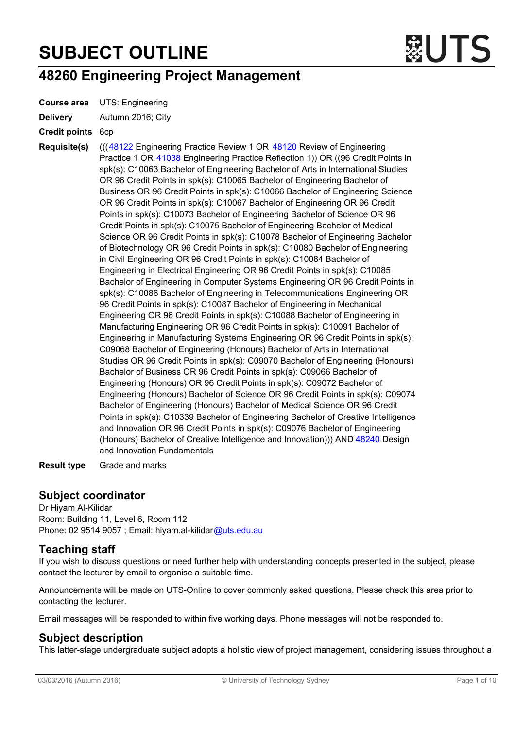# SUBJECT OUTLINE



## 48260 Engineering Project Management

Course area UTS: Engineering

Delivery Autumn 2016; City

Credit points 6cp

Requisite(s) ((([48122](http://handbook.uts.edu.au/subjects/48122.html) Engineering Practice Review 1 OR [48120](http://handbook.uts.edu.au/subjects/48120.html) Review of Engineering Practice 1 OR [41038](http://handbook.uts.edu.au/subjects/41038.html) Engineering Practice Reflection 1)) OR ((96 Credit Points in spk(s): C10063 Bachelor of Engineering Bachelor of Arts in International Studies OR 96 Credit Points in spk(s): C10065 Bachelor of Engineering Bachelor of Business OR 96 Credit Points in spk(s): C10066 Bachelor of Engineering Science OR 96 Credit Points in spk(s): C10067 Bachelor of Engineering OR 96 Credit Points in spk(s): C10073 Bachelor of Engineering Bachelor of Science OR 96 Credit Points in spk(s): C10075 Bachelor of Engineering Bachelor of Medical Science OR 96 Credit Points in spk(s): C10078 Bachelor of Engineering Bachelor of Biotechnology OR 96 Credit Points in spk(s): C10080 Bachelor of Engineering in Civil Engineering OR 96 Credit Points in spk(s): C10084 Bachelor of Engineering in Electrical Engineering OR 96 Credit Points in spk(s): C10085 Bachelor of Engineering in Computer Systems Engineering OR 96 Credit Points in spk(s): C10086 Bachelor of Engineering in Telecommunications Engineering OR 96 Credit Points in spk(s): C10087 Bachelor of Engineering in Mechanical Engineering OR 96 Credit Points in spk(s): C10088 Bachelor of Engineering in Manufacturing Engineering OR 96 Credit Points in spk(s): C10091 Bachelor of Engineering in Manufacturing Systems Engineering OR 96 Credit Points in spk(s): C09068 Bachelor of Engineering (Honours) Bachelor of Arts in International Studies OR 96 Credit Points in spk(s): C09070 Bachelor of Engineering (Honours) Bachelor of Business OR 96 Credit Points in spk(s): C09066 Bachelor of Engineering (Honours) OR 96 Credit Points in spk(s): C09072 Bachelor of Engineering (Honours) Bachelor of Science OR 96 Credit Points in spk(s): C09074 Bachelor of Engineering (Honours) Bachelor of Medical Science OR 96 Credit Points in spk(s): C10339 Bachelor of Engineering Bachelor of Creative Intelligence and Innovation OR 96 Credit Points in spk(s): C09076 Bachelor of Engineering (Honours) Bachelor of Creative Intelligence and Innovation))) AND [48240](http://handbook.uts.edu.au/subjects/48240.html) Design and Innovation Fundamentals

Result type Grade and marks

## Subject coordinator

Dr Hiyam Al-Kilidar Room: Building 11, Level 6, Room 112 Phone: 02 9514 9057 ; Email: hiyam.al-kilidar[@uts.edu.au](mailto:jay.daniel@uts.edu.au)

## Teaching staff

If you wish to discuss questions or need further help with understanding concepts presented in the subject, please contact the lecturer by email to organise a suitable time.

Announcements will be made on UTS-Online to cover commonly asked questions. Please check this area prior to contacting the lecturer.

Email messages will be responded to within five working days. Phone messages will not be responded to.

## Subject description

This latter-stage undergraduate subject adopts a holistic view of project management, considering issues throughout a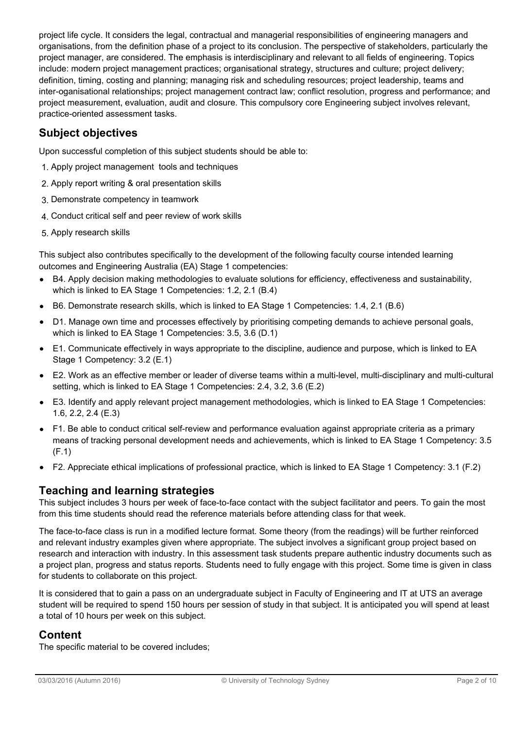project life cycle. It considers the legal, contractual and managerial responsibilities of engineering managers and organisations, from the definition phase of a project to its conclusion. The perspective of stakeholders, particularly the project manager, are considered. The emphasis is interdisciplinary and relevant to all fields of engineering. Topics include: modern project management practices; organisational strategy, structures and culture; project delivery; definition, timing, costing and planning; managing risk and scheduling resources; project leadership, teams and inter-oganisational relationships; project management contract law; conflict resolution, progress and performance; and project measurement, evaluation, audit and closure. This compulsory core Engineering subject involves relevant, practice-oriented assessment tasks.

## Subject objectives

Upon successful completion of this subject students should be able to:

- 1. Apply project management tools and techniques
- 2. Apply report writing & oral presentation skills
- 3. Demonstrate competency in teamwork
- 4. Conduct critical self and peer review of work skills
- 5. Apply research skills

This subject also contributes specifically to the development of the following faculty course intended learning outcomes and Engineering Australia (EA) Stage 1 competencies:

- $\bullet$ B4. Apply decision making methodologies to evaluate solutions for efficiency, effectiveness and sustainability, which is linked to EA Stage 1 Competencies: 1.2, 2.1 (B.4)
- $\bullet$ B6. Demonstrate research skills, which is linked to EA Stage 1 Competencies: 1.4, 2.1 (B.6)
- D1. Manage own time and processes effectively by prioritising competing demands to achieve personal goals, which is linked to EA Stage 1 Competencies: 3.5, 3.6 (D.1)
- E1. Communicate effectively in ways appropriate to the discipline, audience and purpose, which is linked to EA  $\bullet$ Stage 1 Competency: 3.2 (E.1)
- E2. Work as an effective member or leader of diverse teams within a multi-level, multi-disciplinary and multi-cultural  $\bullet$ setting, which is linked to EA Stage 1 Competencies: 2.4, 3.2, 3.6 (E.2)
- E3. Identify and apply relevant project management methodologies, which is linked to EA Stage 1 Competencies:  $\bullet$ 1.6, 2.2, 2.4 (E.3)
- $\bullet$ F1. Be able to conduct critical self-review and performance evaluation against appropriate criteria as a primary means of tracking personal development needs and achievements, which is linked to EA Stage 1 Competency: 3.5 (F.1)
- F2. Appreciate ethical implications of professional practice, which is linked to EA Stage 1 Competency: 3.1 (F.2)

## Teaching and learning strategies

This subject includes 3 hours per week of face-to-face contact with the subject facilitator and peers. To gain the most from this time students should read the reference materials before attending class for that week.

The face-to-face class is run in a modified lecture format. Some theory (from the readings) will be further reinforced and relevant industry examples given where appropriate. The subject involves a significant group project based on research and interaction with industry. In this assessment task students prepare authentic industry documents such as a project plan, progress and status reports. Students need to fully engage with this project. Some time is given in class for students to collaborate on this project.

It is considered that to gain a pass on an undergraduate subject in Faculty of Engineering and IT at UTS an average student will be required to spend 150 hours per session of study in that subject. It is anticipated you will spend at least a total of 10 hours per week on this subject.

## Content

The specific material to be covered includes;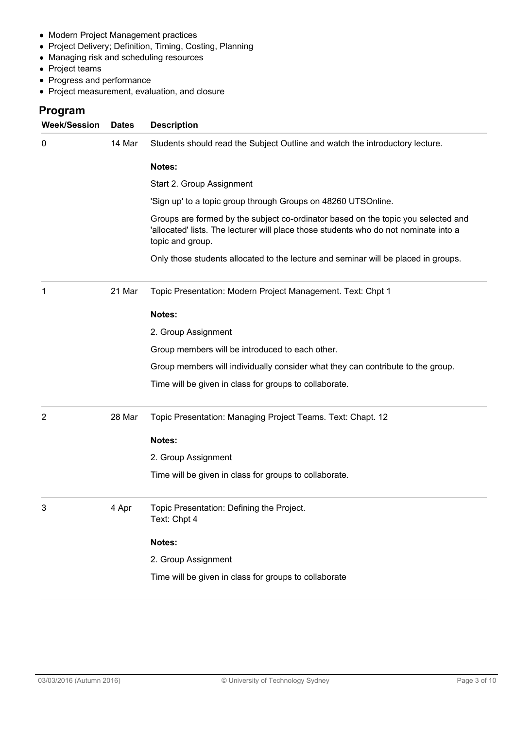- Modern Project Management practices
- Project Delivery; Definition, Timing, Costing, Planning
- Managing risk and scheduling resources
- Project teams
- Progress and performance
- Project measurement, evaluation, and closure

## Program

| <b>Week/Session</b> | <b>Dates</b> | <b>Description</b>                                                                                                                                                                            |
|---------------------|--------------|-----------------------------------------------------------------------------------------------------------------------------------------------------------------------------------------------|
| 0                   | 14 Mar       | Students should read the Subject Outline and watch the introductory lecture.                                                                                                                  |
|                     |              | Notes:                                                                                                                                                                                        |
|                     |              | Start 2. Group Assignment                                                                                                                                                                     |
|                     |              | 'Sign up' to a topic group through Groups on 48260 UTSOnline.                                                                                                                                 |
|                     |              | Groups are formed by the subject co-ordinator based on the topic you selected and<br>'allocated' lists. The lecturer will place those students who do not nominate into a<br>topic and group. |
|                     |              | Only those students allocated to the lecture and seminar will be placed in groups.                                                                                                            |
| 1                   | 21 Mar       | Topic Presentation: Modern Project Management. Text: Chpt 1                                                                                                                                   |
|                     |              | Notes:                                                                                                                                                                                        |
|                     |              | 2. Group Assignment                                                                                                                                                                           |
|                     |              | Group members will be introduced to each other.                                                                                                                                               |
|                     |              | Group members will individually consider what they can contribute to the group.                                                                                                               |
|                     |              | Time will be given in class for groups to collaborate.                                                                                                                                        |
| 2                   | 28 Mar       | Topic Presentation: Managing Project Teams. Text: Chapt. 12                                                                                                                                   |
|                     |              | Notes:                                                                                                                                                                                        |
|                     |              | 2. Group Assignment                                                                                                                                                                           |
|                     |              | Time will be given in class for groups to collaborate.                                                                                                                                        |
|                     | 4 Apr        | Topic Presentation: Defining the Project.<br>Text: Chpt 4                                                                                                                                     |
|                     |              | Notes:                                                                                                                                                                                        |
|                     |              | 2. Group Assignment                                                                                                                                                                           |
|                     |              | Time will be given in class for groups to collaborate                                                                                                                                         |
|                     |              |                                                                                                                                                                                               |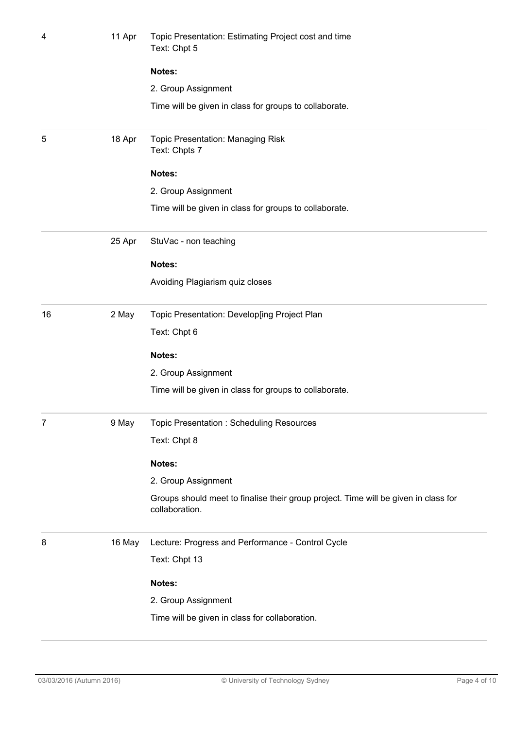| 4  | Topic Presentation: Estimating Project cost and time<br>Text: Chpt 5 |                                                                                                       |
|----|----------------------------------------------------------------------|-------------------------------------------------------------------------------------------------------|
|    |                                                                      | Notes:                                                                                                |
|    |                                                                      | 2. Group Assignment                                                                                   |
|    |                                                                      | Time will be given in class for groups to collaborate.                                                |
| 5  | 18 Apr                                                               | <b>Topic Presentation: Managing Risk</b><br>Text: Chpts 7                                             |
|    |                                                                      | Notes:                                                                                                |
|    |                                                                      | 2. Group Assignment                                                                                   |
|    |                                                                      | Time will be given in class for groups to collaborate.                                                |
|    | 25 Apr                                                               | StuVac - non teaching                                                                                 |
|    |                                                                      | Notes:                                                                                                |
|    |                                                                      | Avoiding Plagiarism quiz closes                                                                       |
| 16 | 2 May                                                                | Topic Presentation: Develop[ing Project Plan                                                          |
|    |                                                                      | Text: Chpt 6                                                                                          |
|    |                                                                      | Notes:                                                                                                |
|    |                                                                      | 2. Group Assignment                                                                                   |
|    |                                                                      | Time will be given in class for groups to collaborate.                                                |
| 7  | 9 May                                                                | Topic Presentation: Scheduling Resources                                                              |
|    |                                                                      | Text: Chpt 8                                                                                          |
|    |                                                                      | Notes:                                                                                                |
|    |                                                                      | 2. Group Assignment                                                                                   |
|    |                                                                      | Groups should meet to finalise their group project. Time will be given in class for<br>collaboration. |
| 8  | 16 May                                                               | Lecture: Progress and Performance - Control Cycle                                                     |
|    |                                                                      | Text: Chpt 13                                                                                         |
|    |                                                                      | Notes:                                                                                                |
|    |                                                                      | 2. Group Assignment                                                                                   |
|    |                                                                      | Time will be given in class for collaboration.                                                        |
|    |                                                                      |                                                                                                       |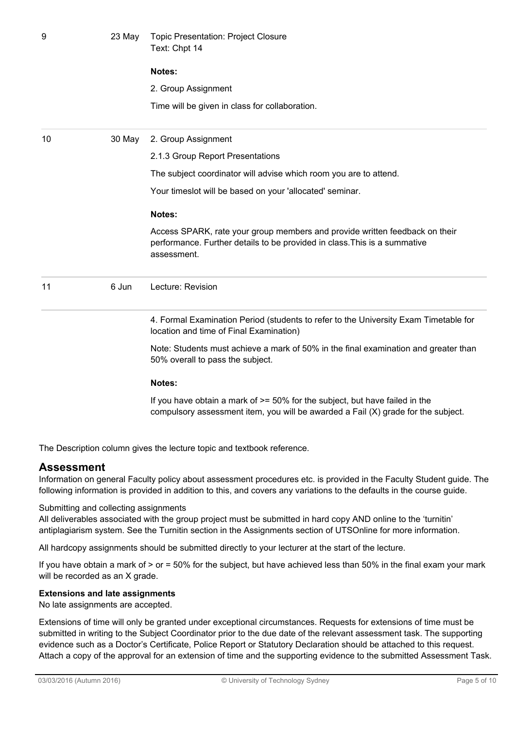| 9  | 23 May | <b>Topic Presentation: Project Closure</b><br>Text: Chpt 14                                                                                                             |  |  |  |
|----|--------|-------------------------------------------------------------------------------------------------------------------------------------------------------------------------|--|--|--|
|    |        | Notes:                                                                                                                                                                  |  |  |  |
|    |        | 2. Group Assignment                                                                                                                                                     |  |  |  |
|    |        | Time will be given in class for collaboration.                                                                                                                          |  |  |  |
| 10 | 30 May | 2. Group Assignment                                                                                                                                                     |  |  |  |
|    |        | 2.1.3 Group Report Presentations                                                                                                                                        |  |  |  |
|    |        | The subject coordinator will advise which room you are to attend.                                                                                                       |  |  |  |
|    |        | Your timeslot will be based on your 'allocated' seminar.                                                                                                                |  |  |  |
|    |        | Notes:                                                                                                                                                                  |  |  |  |
|    |        | Access SPARK, rate your group members and provide written feedback on their<br>performance. Further details to be provided in class. This is a summative<br>assessment. |  |  |  |
| 11 | 6 Jun  | Lecture: Revision                                                                                                                                                       |  |  |  |
|    |        | 4. Formal Examination Period (students to refer to the University Exam Timetable for<br>location and time of Final Examination)                                         |  |  |  |
|    |        | Note: Students must achieve a mark of 50% in the final examination and greater than<br>50% overall to pass the subject.                                                 |  |  |  |
|    |        | Notes:                                                                                                                                                                  |  |  |  |
|    |        | If you have obtain a mark of $>= 50\%$ for the subject, but have failed in the<br>compulsory assessment item, you will be awarded a Fail (X) grade for the subject.     |  |  |  |

The Description column gives the lecture topic and textbook reference.

## Assessment

Information on general Faculty policy about assessment procedures etc. is provided in the Faculty Student guide. The following information is provided in addition to this, and covers any variations to the defaults in the course guide.

#### Submitting and collecting assignments

All deliverables associated with the group project must be submitted in hard copy AND online to the 'turnitin' antiplagiarism system. See the Turnitin section in the Assignments section of UTSOnline for more information.

All hardcopy assignments should be submitted directly to your lecturer at the start of the lecture.

If you have obtain a mark of  $>$  or = 50% for the subject, but have achieved less than 50% in the final exam your mark will be recorded as an X grade.

#### Extensions and late assignments

No late assignments are accepted.

Extensions of time will only be granted under exceptional circumstances. Requests for extensions of time must be submitted in writing to the Subject Coordinator prior to the due date of the relevant assessment task. The supporting evidence such as a Doctor's Certificate, Police Report or Statutory Declaration should be attached to this request. Attach a copy of the approval for an extension of time and the supporting evidence to the submitted Assessment Task.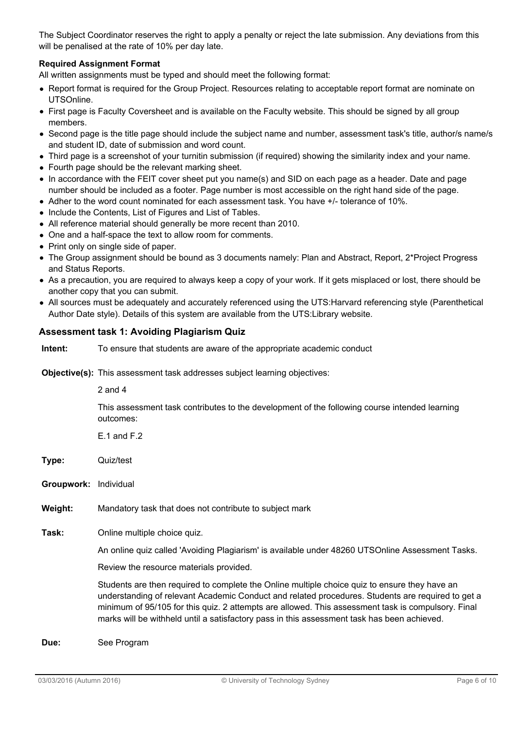The Subject Coordinator reserves the right to apply a penalty or reject the late submission. Any deviations from this will be penalised at the rate of 10% per day late.

#### Required Assignment Format

All written assignments must be typed and should meet the following format:

- Report format is required for the Group Project. Resources relating to acceptable report format are nominate on UTSOnline.
- First page is Faculty Coversheet and is available on the Faculty website. This should be signed by all group members.
- Second page is the title page should include the subject name and number, assessment task's title, author/s name/s and student ID, date of submission and word count.
- Third page is a screenshot of your turnitin submission (if required) showing the similarity index and your name.
- Fourth page should be the relevant marking sheet.
- In accordance with the FEIT cover sheet put you name(s) and SID on each page as a header. Date and page number should be included as a footer. Page number is most accessible on the right hand side of the page.
- Adher to the word count nominated for each assessment task. You have +/- tolerance of 10%.
- Include the Contents, List of Figures and List of Tables.
- All reference material should generally be more recent than 2010.
- One and a half-space the text to allow room for comments.
- Print only on single side of paper.
- The Group assignment should be bound as 3 documents namely: Plan and Abstract, Report, 2\*Project Progress and Status Reports.
- As a precaution, you are required to always keep a copy of your work. If it gets misplaced or lost, there should be another copy that you can submit.
- All sources must be adequately and accurately referenced using the UTS:Harvard referencing style (Parenthetical Author Date style). Details of this system are available from the UTS:Library website.

#### Assessment task 1: Avoiding Plagiarism Quiz

Intent: To ensure that students are aware of the appropriate academic conduct

Objective(s): This assessment task addresses subject learning objectives:

2 and 4

This assessment task contributes to the development of the following course intended learning outcomes:

 $F.1$  and  $F.2$ 

Type: Quiz/test

Groupwork: Individual

Weight: Mandatory task that does not contribute to subject mark

Task: Online multiple choice quiz.

An online quiz called 'Avoiding Plagiarism' is available under 48260 UTSOnline Assessment Tasks.

Review the resource materials provided.

Students are then required to complete the Online multiple choice quiz to ensure they have an understanding of relevant Academic Conduct and related procedures. Students are required to get a minimum of 95/105 for this quiz. 2 attempts are allowed. This assessment task is compulsory. Final marks will be withheld until a satisfactory pass in this assessment task has been achieved.

Due: See Program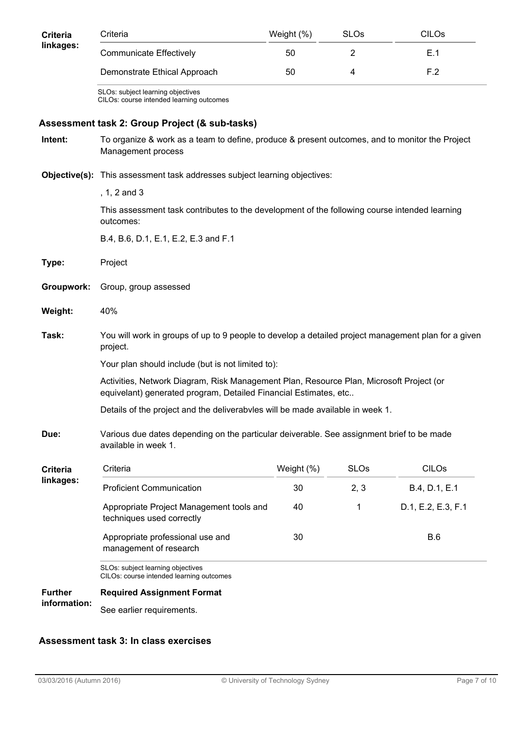| <b>Criteria</b><br>linkages: | Criteria                                                                                                                                                             | Weight (%) | <b>SLOs</b>    | <b>CILOs</b>       |  |  |  |
|------------------------------|----------------------------------------------------------------------------------------------------------------------------------------------------------------------|------------|----------------|--------------------|--|--|--|
|                              | <b>Communicate Effectively</b>                                                                                                                                       | 50         | $\overline{2}$ | E.1                |  |  |  |
|                              | Demonstrate Ethical Approach                                                                                                                                         | 50         | 4              | F.2                |  |  |  |
|                              | SLOs: subject learning objectives<br>CILOs: course intended learning outcomes                                                                                        |            |                |                    |  |  |  |
|                              | Assessment task 2: Group Project (& sub-tasks)                                                                                                                       |            |                |                    |  |  |  |
| Intent:                      | To organize & work as a team to define, produce & present outcomes, and to monitor the Project<br>Management process                                                 |            |                |                    |  |  |  |
|                              | <b>Objective(s):</b> This assessment task addresses subject learning objectives:                                                                                     |            |                |                    |  |  |  |
|                              | , $1, 2$ and $3$                                                                                                                                                     |            |                |                    |  |  |  |
|                              | This assessment task contributes to the development of the following course intended learning<br>outcomes:                                                           |            |                |                    |  |  |  |
|                              | B.4, B.6, D.1, E.1, E.2, E.3 and F.1                                                                                                                                 |            |                |                    |  |  |  |
| Type:                        | Project                                                                                                                                                              |            |                |                    |  |  |  |
| Groupwork:                   | Group, group assessed                                                                                                                                                |            |                |                    |  |  |  |
| Weight:                      | 40%                                                                                                                                                                  |            |                |                    |  |  |  |
| Task:                        | You will work in groups of up to 9 people to develop a detailed project management plan for a given<br>project.<br>Your plan should include (but is not limited to): |            |                |                    |  |  |  |
|                              |                                                                                                                                                                      |            |                |                    |  |  |  |
|                              | Activities, Network Diagram, Risk Management Plan, Resource Plan, Microsoft Project (or<br>equivelant) generated program, Detailed Financial Estimates, etc          |            |                |                    |  |  |  |
|                              | Details of the project and the deliverabvles will be made available in week 1.                                                                                       |            |                |                    |  |  |  |
| Due:                         | Various due dates depending on the particular deiverable. See assignment brief to be made<br>available in week 1.                                                    |            |                |                    |  |  |  |
| Criteria                     | Criteria                                                                                                                                                             | Weight (%) | <b>SLOs</b>    | <b>CILOS</b>       |  |  |  |
| linkages:                    | <b>Proficient Communication</b>                                                                                                                                      | 30         | 2, 3           | B.4, D.1, E.1      |  |  |  |
|                              | Appropriate Project Management tools and<br>techniques used correctly                                                                                                | 40         | 1              | D.1, E.2, E.3, F.1 |  |  |  |
|                              | Appropriate professional use and<br>management of research                                                                                                           | 30         |                | B.6                |  |  |  |
|                              | SLOs: subject learning objectives<br>CILOs: course intended learning outcomes                                                                                        |            |                |                    |  |  |  |
| <b>Further</b>               | <b>Required Assignment Format</b>                                                                                                                                    |            |                |                    |  |  |  |
| information:                 | See earlier requirements.                                                                                                                                            |            |                |                    |  |  |  |

## Assessment task 3: In class exercises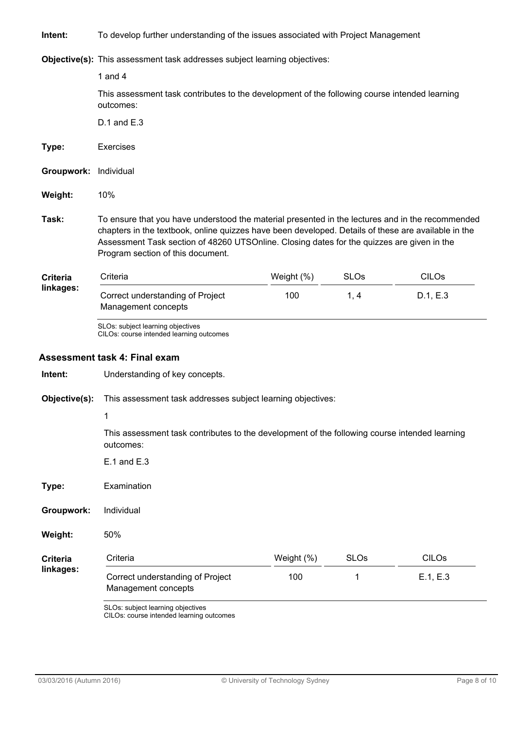Intent: To develop further understanding of the issues associated with Project Management

Objective(s): This assessment task addresses subject learning objectives:

|                              | 1 and $4$                                                                                                                                                                                                                                                                                                                                  |            |             |              |  |  |  |  |
|------------------------------|--------------------------------------------------------------------------------------------------------------------------------------------------------------------------------------------------------------------------------------------------------------------------------------------------------------------------------------------|------------|-------------|--------------|--|--|--|--|
|                              | This assessment task contributes to the development of the following course intended learning<br>outcomes:                                                                                                                                                                                                                                 |            |             |              |  |  |  |  |
|                              | $D.1$ and $E.3$                                                                                                                                                                                                                                                                                                                            |            |             |              |  |  |  |  |
| Type:                        | <b>Exercises</b>                                                                                                                                                                                                                                                                                                                           |            |             |              |  |  |  |  |
| Groupwork:                   | Individual                                                                                                                                                                                                                                                                                                                                 |            |             |              |  |  |  |  |
| Weight:                      | 10%                                                                                                                                                                                                                                                                                                                                        |            |             |              |  |  |  |  |
| Task:                        | To ensure that you have understood the material presented in the lectures and in the recommended<br>chapters in the textbook, online quizzes have been developed. Details of these are available in the<br>Assessment Task section of 48260 UTSOnline. Closing dates for the quizzes are given in the<br>Program section of this document. |            |             |              |  |  |  |  |
| <b>Criteria</b><br>linkages: | Criteria                                                                                                                                                                                                                                                                                                                                   | Weight (%) | <b>SLOs</b> | <b>CILOs</b> |  |  |  |  |
|                              | Correct understanding of Project<br>Management concepts                                                                                                                                                                                                                                                                                    | 100        | 1, 4        | D.1, E.3     |  |  |  |  |
| Intent:                      | CILOs: course intended learning outcomes<br><b>Assessment task 4: Final exam</b><br>Understanding of key concepts.                                                                                                                                                                                                                         |            |             |              |  |  |  |  |
| Objective(s):                | This assessment task addresses subject learning objectives:                                                                                                                                                                                                                                                                                |            |             |              |  |  |  |  |
|                              | 1                                                                                                                                                                                                                                                                                                                                          |            |             |              |  |  |  |  |
|                              | This assessment task contributes to the development of the following course intended learning<br>outcomes:                                                                                                                                                                                                                                 |            |             |              |  |  |  |  |
|                              | $E.1$ and $E.3$                                                                                                                                                                                                                                                                                                                            |            |             |              |  |  |  |  |
| Type:                        | Examination                                                                                                                                                                                                                                                                                                                                |            |             |              |  |  |  |  |
| Groupwork:                   | Individual                                                                                                                                                                                                                                                                                                                                 |            |             |              |  |  |  |  |
| Weight:                      | 50%                                                                                                                                                                                                                                                                                                                                        |            |             |              |  |  |  |  |
| <b>Criteria</b>              | Criteria                                                                                                                                                                                                                                                                                                                                   | Weight (%) | <b>SLOs</b> | <b>CILOs</b> |  |  |  |  |
| linkages:                    | Correct understanding of Project<br>Management concepts                                                                                                                                                                                                                                                                                    | 100        | 1           | E.1, E.3     |  |  |  |  |
|                              | SLOs: subject learning objectives                                                                                                                                                                                                                                                                                                          |            |             |              |  |  |  |  |

CILOs: course intended learning outcomes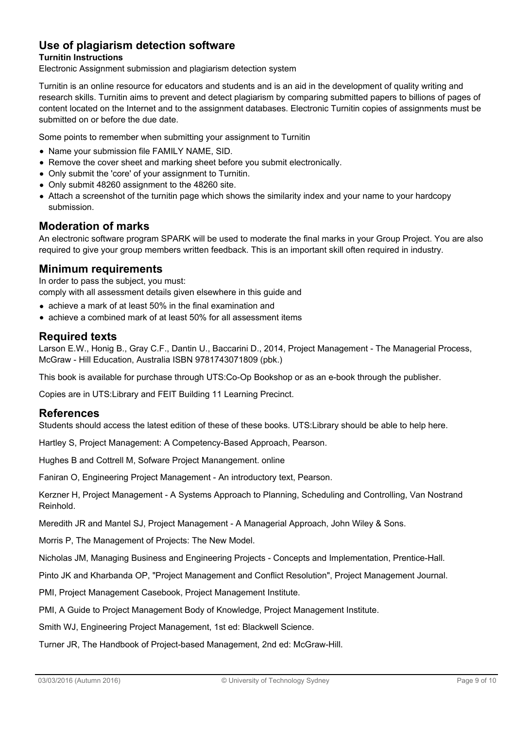## Use of plagiarism detection software

#### Turnitin Instructions

Electronic Assignment submission and plagiarism detection system

Turnitin is an online resource for educators and students and is an aid in the development of quality writing and research skills. Turnitin aims to prevent and detect plagiarism by comparing submitted papers to billions of pages of content located on the Internet and to the assignment databases. Electronic Turnitin copies of assignments must be submitted on or before the due date.

Some points to remember when submitting your assignment to Turnitin

- Name your submission file FAMILY NAME, SID.
- Remove the cover sheet and marking sheet before you submit electronically.
- Only submit the 'core' of your assignment to Turnitin.
- Only submit 48260 assignment to the 48260 site.
- Attach a screenshot of the turnitin page which shows the similarity index and your name to your hardcopy submission.

#### Moderation of marks

An electronic software program SPARK will be used to moderate the final marks in your Group Project. You are also required to give your group members written feedback. This is an important skill often required in industry.

#### Minimum requirements

In order to pass the subject, you must: comply with all assessment details given elsewhere in this guide and

- achieve a mark of at least 50% in the final examination and
- achieve a combined mark of at least 50% for all assessment items

#### Required texts

Larson E.W., Honig B., Gray C.F., Dantin U., Baccarini D., 2014, Project Management - The Managerial Process, McGraw - Hill Education, Australia ISBN 9781743071809 (pbk.)

This book is available for purchase through UTS:Co-Op Bookshop or as an e-book through the publisher.

Copies are in UTS:Library and FEIT Building 11 Learning Precinct.

#### References

Students should access the latest edition of these of these books. UTS:Library should be able to help here.

Hartley S, Project Management: A Competency-Based Approach, Pearson.

Hughes B and Cottrell M, Sofware Project Manangement. online

Faniran O, Engineering Project Management - An introductory text, Pearson.

Kerzner H, Project Management - A Systems Approach to Planning, Scheduling and Controlling, Van Nostrand Reinhold.

Meredith JR and Mantel SJ, Project Management - A Managerial Approach, John Wiley & Sons.

Morris P, The Management of Projects: The New Model.

Nicholas JM, Managing Business and Engineering Projects - Concepts and Implementation, Prentice-Hall.

Pinto JK and Kharbanda OP, "Project Management and Conflict Resolution", Project Management Journal.

PMI, Project Management Casebook, Project Management Institute.

PMI, A Guide to Project Management Body of Knowledge, Project Management Institute.

Smith WJ, Engineering Project Management, 1st ed: Blackwell Science.

Turner JR, The Handbook of Project-based Management, 2nd ed: McGraw-Hill.